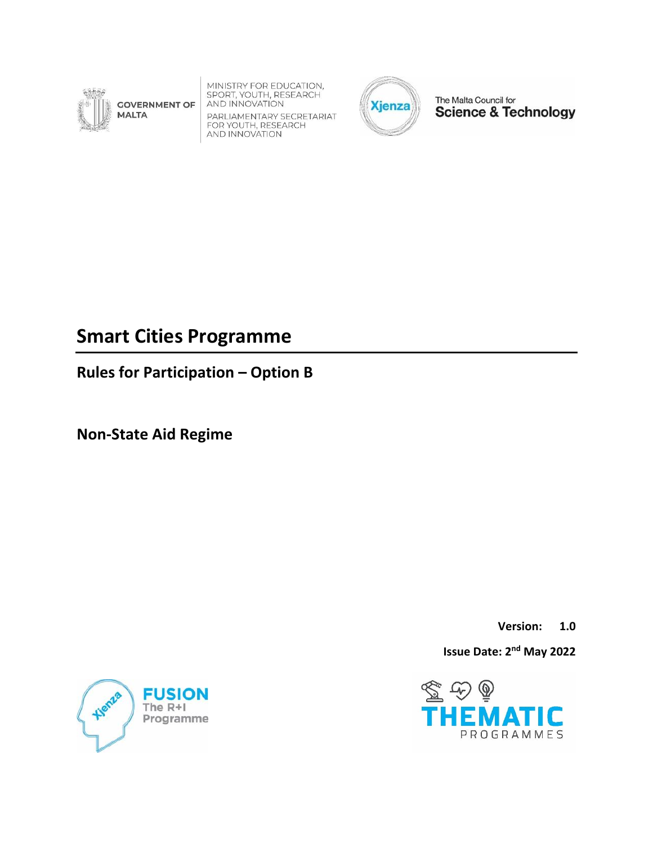

MINISTRY FOR EDUCATION,<br>SPORT, YOUTH, RESEARCH<br>AND INNOVATION **GOVERNMENT OF** 

PARLIAMENTARY SECRETARIAT FARLIAMENTARY SLUKE<br>FOR YOUTH, RESEARCH<br>AND INNOVATION



The Malta Council for **Science & Technology** 

# **Smart Cities Programme**

**Rules for Participation – Option B**

**Non-State Aid Regime**

**Version: 1.0**

**Issue Date: 2<sup>nd</sup> May 2022** 



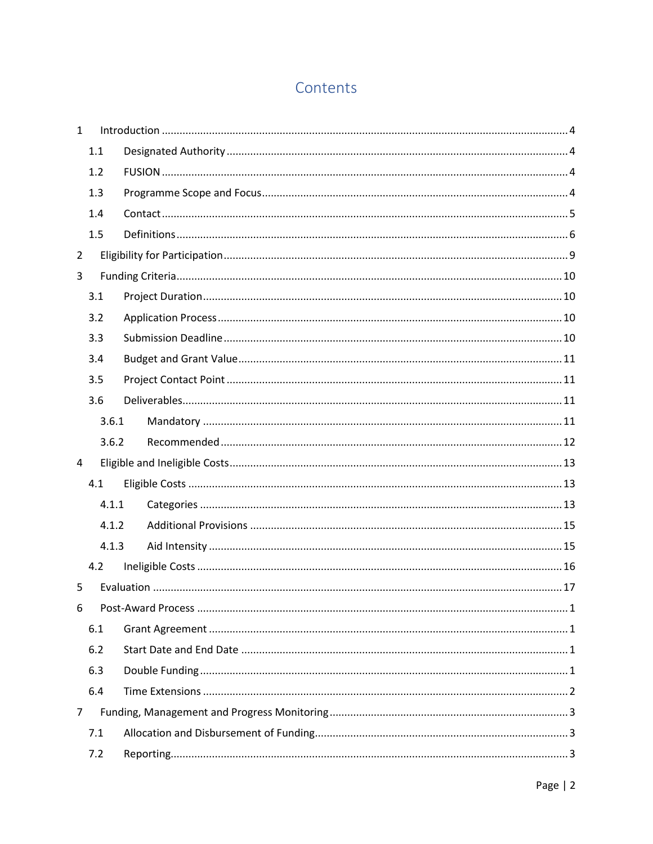## Contents

| $\mathbf{1}$   |       |  |  |  |
|----------------|-------|--|--|--|
|                | 1.1   |  |  |  |
|                | 1.2   |  |  |  |
|                | 1.3   |  |  |  |
|                | 1.4   |  |  |  |
|                | 1.5   |  |  |  |
| $\overline{2}$ |       |  |  |  |
| 3              |       |  |  |  |
|                | 3.1   |  |  |  |
|                | 3.2   |  |  |  |
|                | 3.3   |  |  |  |
|                | 3.4   |  |  |  |
|                | 3.5   |  |  |  |
|                | 3.6   |  |  |  |
|                | 3.6.1 |  |  |  |
|                | 3.6.2 |  |  |  |
| 4              |       |  |  |  |
|                | 4.1   |  |  |  |
|                | 4.1.1 |  |  |  |
|                | 4.1.2 |  |  |  |
|                | 4.1.3 |  |  |  |
|                | 4.2   |  |  |  |
| 5              |       |  |  |  |
| 6              |       |  |  |  |
|                | 6.1   |  |  |  |
|                | 6.2   |  |  |  |
|                | 6.3   |  |  |  |
|                | 6.4   |  |  |  |
| $\overline{7}$ |       |  |  |  |
|                | 7.1   |  |  |  |
|                | 7.2   |  |  |  |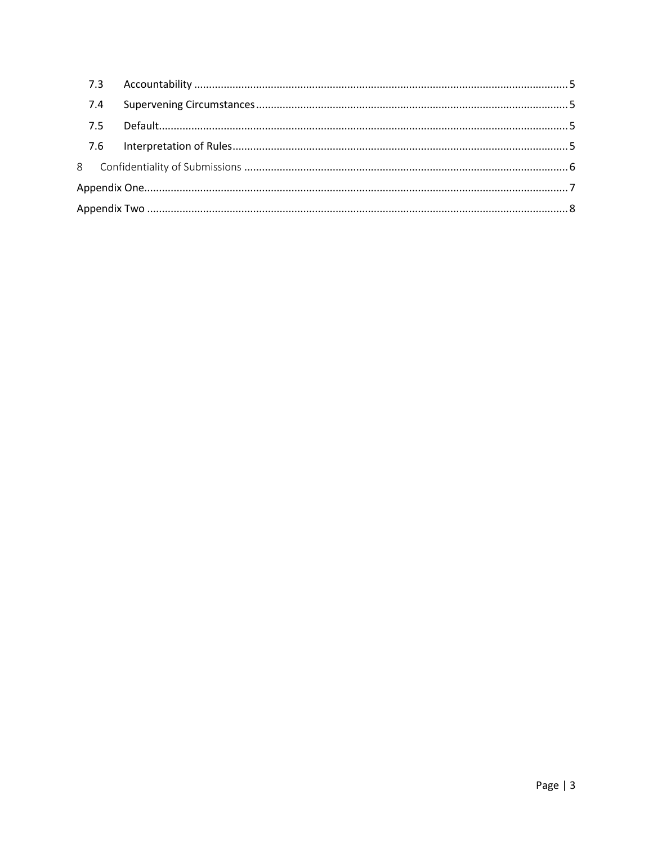| 7.4 |  |  |  |
|-----|--|--|--|
| 7.5 |  |  |  |
|     |  |  |  |
|     |  |  |  |
|     |  |  |  |
|     |  |  |  |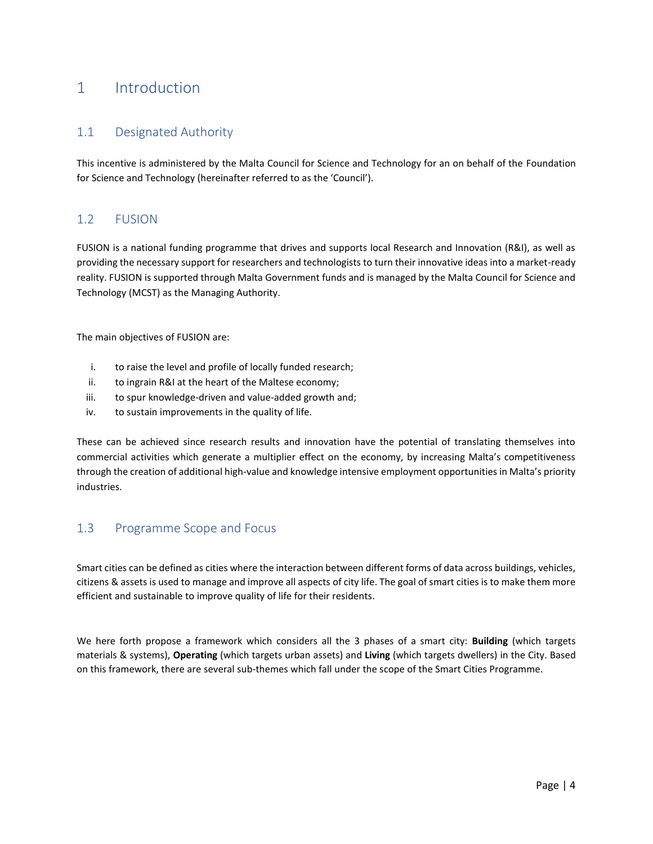## <span id="page-3-0"></span>1 Introduction

### <span id="page-3-1"></span>1.1 Designated Authority

This incentive is administered by the Malta Council for Science and Technology for an on behalf of the Foundation for Science and Technology (hereinafter referred to as the 'Council').

## <span id="page-3-2"></span>1.2 FUSION

FUSION is a national funding programme that drives and supports local Research and Innovation (R&I), as well as providing the necessary support for researchers and technologists to turn their innovative ideas into a market-ready reality. FUSION is supported through Malta Government funds and is managed by the Malta Council for Science and Technology (MCST) as the Managing Authority.

The main objectives of FUSION are:

- i. to raise the level and profile of locally funded research;
- ii. to ingrain R&I at the heart of the Maltese economy;
- iii. to spur knowledge-driven and value-added growth and;
- iv. to sustain improvements in the quality of life.

These can be achieved since research results and innovation have the potential of translating themselves into commercial activities which generate a multiplier effect on the economy, by increasing Malta's competitiveness through the creation of additional high-value and knowledge intensive employment opportunities in Malta's priority industries.

### <span id="page-3-3"></span>1.3 Programme Scope and Focus

Smart cities can be defined as cities where the interaction between different forms of data across buildings, vehicles, citizens & assets is used to manage and improve all aspects of city life. The goal of smart cities is to make them more efficient and sustainable to improve quality of life for their residents.

We here forth propose a framework which considers all the 3 phases of a smart city: **Building** (which targets materials & systems), **Operating** (which targets urban assets) and **Living** (which targets dwellers) in the City. Based on this framework, there are several sub-themes which fall under the scope of the Smart Cities Programme.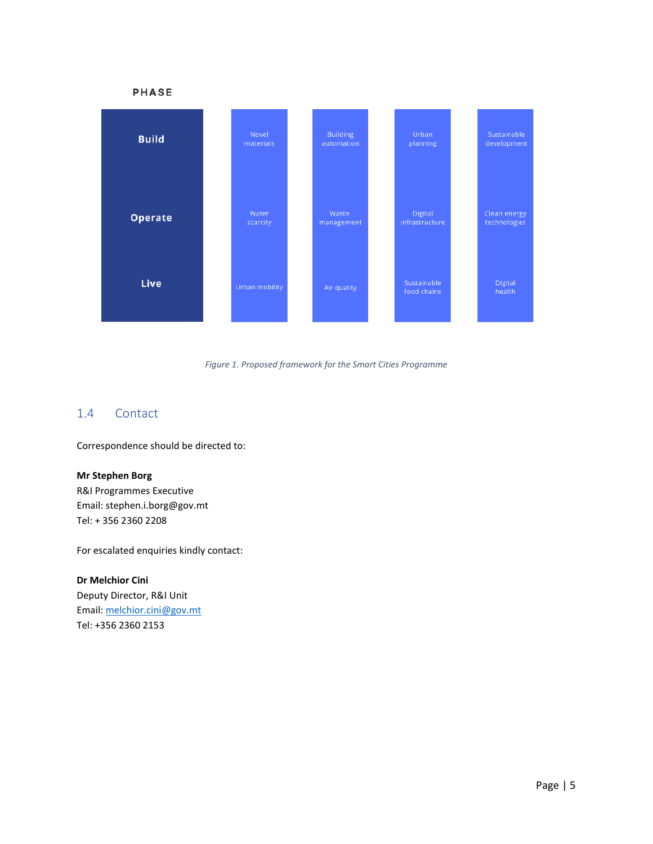

#### *Figure 1. Proposed framework for the Smart Cities Programme*

### <span id="page-4-0"></span>1.4 Contact

Correspondence should be directed to:

#### **Mr Stephen Borg**

R&I Programmes Executive Email: stephen.i.borg@gov.mt Tel: + 356 2360 2208

For escalated enquiries kindly contact:

#### **Dr Melchior Cini**

Deputy Director, R&I Unit Email: [melchior.cini@gov.mt](mailto:melchior.cini@gov.mt) Tel: +356 2360 2153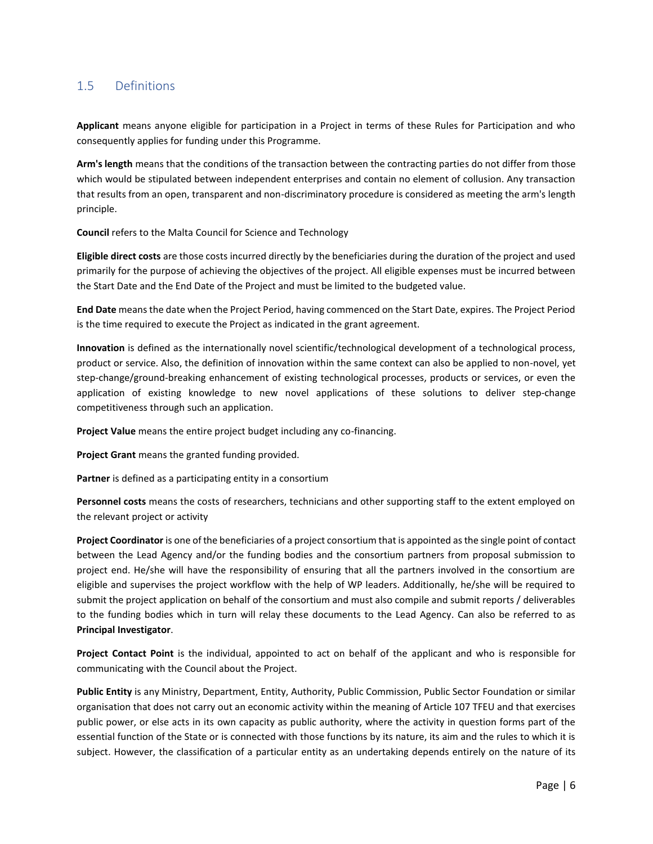## <span id="page-5-0"></span>1.5 Definitions

**Applicant** means anyone eligible for participation in a Project in terms of these Rules for Participation and who consequently applies for funding under this Programme.

**Arm's length** means that the conditions of the transaction between the contracting parties do not differ from those which would be stipulated between independent enterprises and contain no element of collusion. Any transaction that results from an open, transparent and non-discriminatory procedure is considered as meeting the arm's length principle.

**Council** refers to the Malta Council for Science and Technology

**Eligible direct costs** are those costs incurred directly by the beneficiaries during the duration of the project and used primarily for the purpose of achieving the objectives of the project. All eligible expenses must be incurred between the Start Date and the End Date of the Project and must be limited to the budgeted value.

**End Date** means the date when the Project Period, having commenced on the Start Date, expires. The Project Period is the time required to execute the Project as indicated in the grant agreement.

**Innovation** is defined as the internationally novel scientific/technological development of a technological process, product or service. Also, the definition of innovation within the same context can also be applied to non-novel, yet step-change/ground-breaking enhancement of existing technological processes, products or services, or even the application of existing knowledge to new novel applications of these solutions to deliver step-change competitiveness through such an application.

**Project Value** means the entire project budget including any co-financing.

**Project Grant** means the granted funding provided.

**Partner** is defined as a participating entity in a consortium

**Personnel costs** means the costs of researchers, technicians and other supporting staff to the extent employed on the relevant project or activity

**Project Coordinator** is one of the beneficiaries of a project consortium that is appointed as the single point of contact between the Lead Agency and/or the funding bodies and the consortium partners from proposal submission to project end. He/she will have the responsibility of ensuring that all the partners involved in the consortium are eligible and supervises the project workflow with the help of WP leaders. Additionally, he/she will be required to submit the project application on behalf of the consortium and must also compile and submit reports / deliverables to the funding bodies which in turn will relay these documents to the Lead Agency. Can also be referred to as **Principal Investigator**.

**Project Contact Point** is the individual, appointed to act on behalf of the applicant and who is responsible for communicating with the Council about the Project.

**Public Entity** is any Ministry, Department, Entity, Authority, Public Commission, Public Sector Foundation or similar organisation that does not carry out an economic activity within the meaning of Article 107 TFEU and that exercises public power, or else acts in its own capacity as public authority, where the activity in question forms part of the essential function of the State or is connected with those functions by its nature, its aim and the rules to which it is subject. However, the classification of a particular entity as an undertaking depends entirely on the nature of its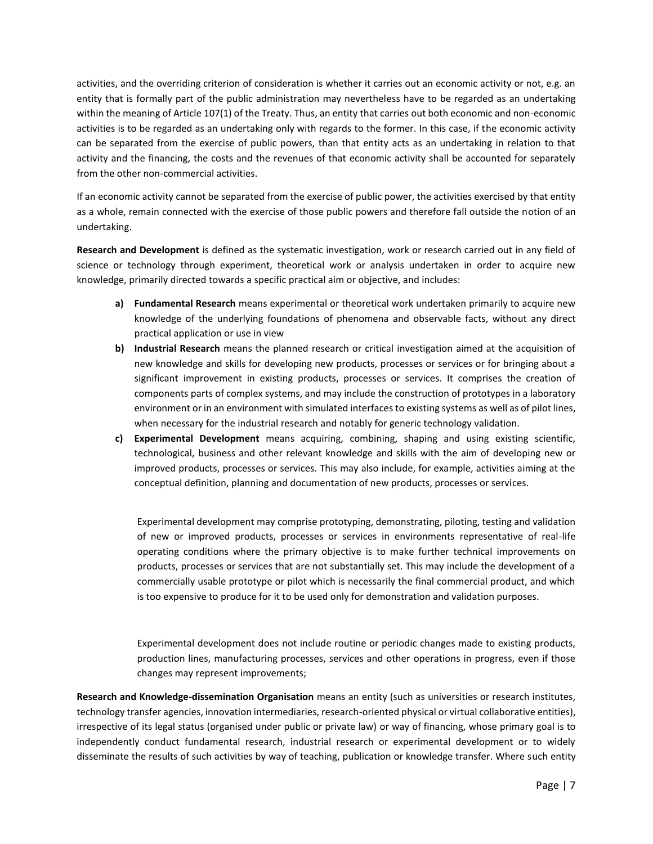activities, and the overriding criterion of consideration is whether it carries out an economic activity or not, e.g. an entity that is formally part of the public administration may nevertheless have to be regarded as an undertaking within the meaning of Article 107(1) of the Treaty. Thus, an entity that carries out both economic and non-economic activities is to be regarded as an undertaking only with regards to the former. In this case, if the economic activity can be separated from the exercise of public powers, than that entity acts as an undertaking in relation to that activity and the financing, the costs and the revenues of that economic activity shall be accounted for separately from the other non-commercial activities.

If an economic activity cannot be separated from the exercise of public power, the activities exercised by that entity as a whole, remain connected with the exercise of those public powers and therefore fall outside the notion of an undertaking.

**Research and Development** is defined as the systematic investigation, work or research carried out in any field of science or technology through experiment, theoretical work or analysis undertaken in order to acquire new knowledge, primarily directed towards a specific practical aim or objective, and includes:

- **a) Fundamental Research** means experimental or theoretical work undertaken primarily to acquire new knowledge of the underlying foundations of phenomena and observable facts, without any direct practical application or use in view
- **b) Industrial Research** means the planned research or critical investigation aimed at the acquisition of new knowledge and skills for developing new products, processes or services or for bringing about a significant improvement in existing products, processes or services. It comprises the creation of components parts of complex systems, and may include the construction of prototypes in a laboratory environment or in an environment with simulated interfaces to existing systems as well as of pilot lines, when necessary for the industrial research and notably for generic technology validation.
- **c) Experimental Development** means acquiring, combining, shaping and using existing scientific, technological, business and other relevant knowledge and skills with the aim of developing new or improved products, processes or services. This may also include, for example, activities aiming at the conceptual definition, planning and documentation of new products, processes or services.

Experimental development may comprise prototyping, demonstrating, piloting, testing and validation of new or improved products, processes or services in environments representative of real-life operating conditions where the primary objective is to make further technical improvements on products, processes or services that are not substantially set. This may include the development of a commercially usable prototype or pilot which is necessarily the final commercial product, and which is too expensive to produce for it to be used only for demonstration and validation purposes.

Experimental development does not include routine or periodic changes made to existing products, production lines, manufacturing processes, services and other operations in progress, even if those changes may represent improvements;

**Research and Knowledge-dissemination Organisation** means an entity (such as universities or research institutes, technology transfer agencies, innovation intermediaries, research-oriented physical or virtual collaborative entities), irrespective of its legal status (organised under public or private law) or way of financing, whose primary goal is to independently conduct fundamental research, industrial research or experimental development or to widely disseminate the results of such activities by way of teaching, publication or knowledge transfer. Where such entity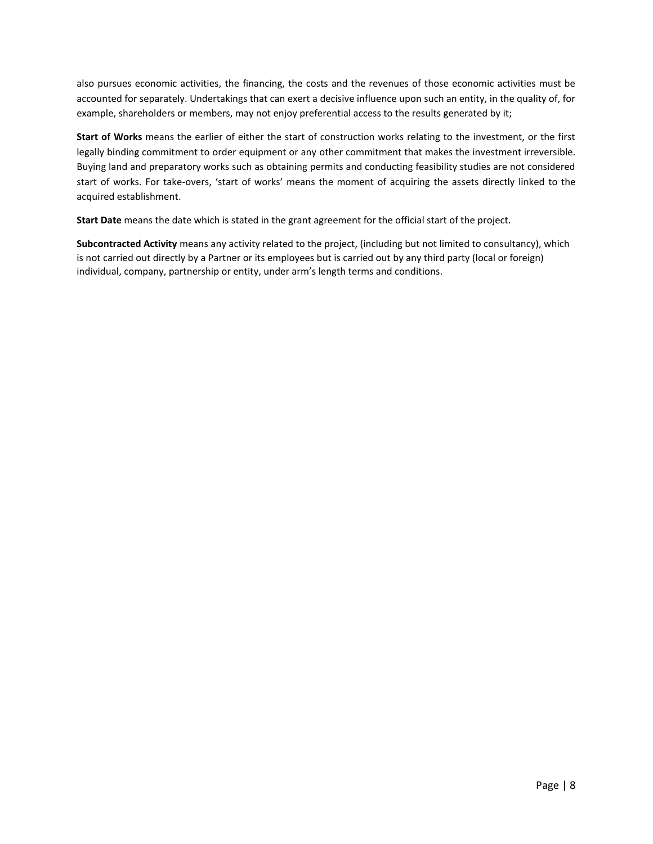also pursues economic activities, the financing, the costs and the revenues of those economic activities must be accounted for separately. Undertakings that can exert a decisive influence upon such an entity, in the quality of, for example, shareholders or members, may not enjoy preferential access to the results generated by it;

**Start of Works** means the earlier of either the start of construction works relating to the investment, or the first legally binding commitment to order equipment or any other commitment that makes the investment irreversible. Buying land and preparatory works such as obtaining permits and conducting feasibility studies are not considered start of works. For take-overs, 'start of works' means the moment of acquiring the assets directly linked to the acquired establishment.

**Start Date** means the date which is stated in the grant agreement for the official start of the project.

**Subcontracted Activity** means any activity related to the project, (including but not limited to consultancy), which is not carried out directly by a Partner or its employees but is carried out by any third party (local or foreign) individual, company, partnership or entity, under arm's length terms and conditions.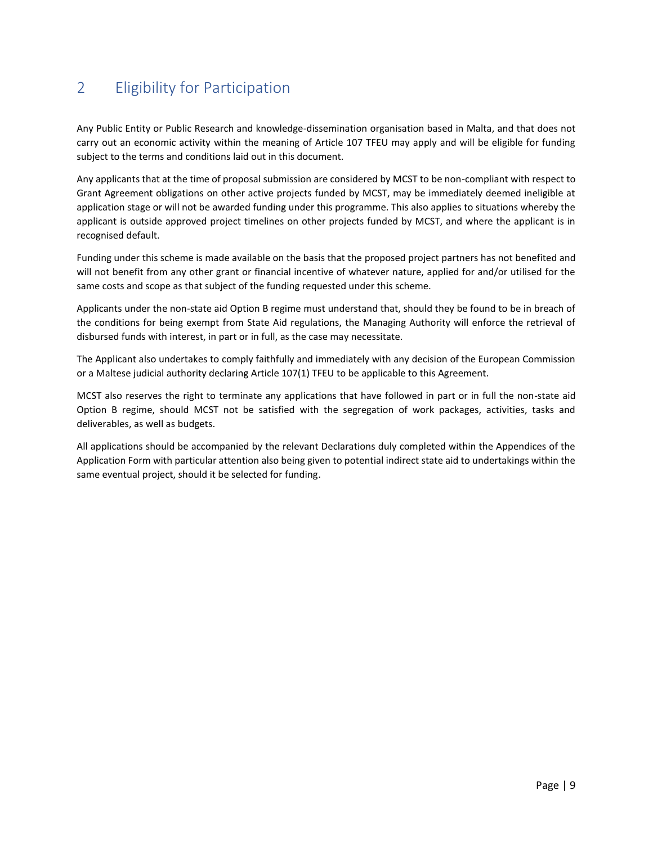## <span id="page-8-0"></span>2 Eligibility for Participation

Any Public Entity or Public Research and knowledge-dissemination organisation based in Malta, and that does not carry out an economic activity within the meaning of Article 107 TFEU may apply and will be eligible for funding subject to the terms and conditions laid out in this document.

Any applicants that at the time of proposal submission are considered by MCST to be non-compliant with respect to Grant Agreement obligations on other active projects funded by MCST, may be immediately deemed ineligible at application stage or will not be awarded funding under this programme. This also applies to situations whereby the applicant is outside approved project timelines on other projects funded by MCST, and where the applicant is in recognised default.

Funding under this scheme is made available on the basis that the proposed project partners has not benefited and will not benefit from any other grant or financial incentive of whatever nature, applied for and/or utilised for the same costs and scope as that subject of the funding requested under this scheme.

Applicants under the non-state aid Option B regime must understand that, should they be found to be in breach of the conditions for being exempt from State Aid regulations, the Managing Authority will enforce the retrieval of disbursed funds with interest, in part or in full, as the case may necessitate.

The Applicant also undertakes to comply faithfully and immediately with any decision of the European Commission or a Maltese judicial authority declaring Article 107(1) TFEU to be applicable to this Agreement.

MCST also reserves the right to terminate any applications that have followed in part or in full the non-state aid Option B regime, should MCST not be satisfied with the segregation of work packages, activities, tasks and deliverables, as well as budgets.

All applications should be accompanied by the relevant Declarations duly completed within the Appendices of the Application Form with particular attention also being given to potential indirect state aid to undertakings within the same eventual project, should it be selected for funding.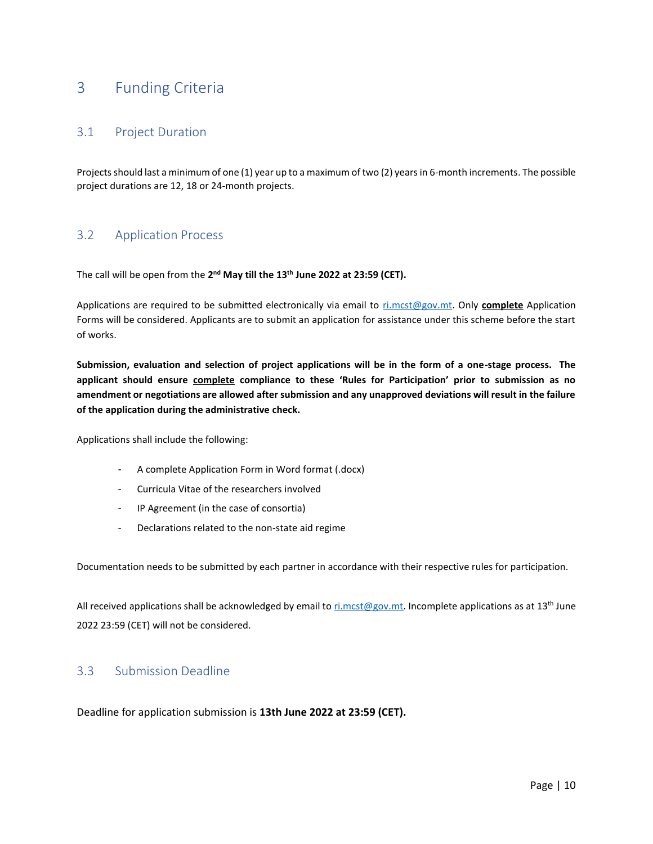## <span id="page-9-0"></span>3 Funding Criteria

### <span id="page-9-1"></span>3.1 Project Duration

Projects should last a minimum of one (1) year up to a maximum of two (2) years in 6-month increments. The possible project durations are 12, 18 or 24-month projects.

### <span id="page-9-2"></span>3.2 Application Process

The call will be open from the 2<sup>nd</sup> May till the 13<sup>th</sup> June 2022 at 23:59 (CET).

Applications are required to be submitted electronically via email to [ri.mcst@gov.mt.](mailto:ri.mcst@gov.mt) Only **complete** Application Forms will be considered. Applicants are to submit an application for assistance under this scheme before the start of works.

**Submission, evaluation and selection of project applications will be in the form of a one-stage process. The applicant should ensure complete compliance to these 'Rules for Participation' prior to submission as no amendment or negotiations are allowed after submission and any unapproved deviations will result in the failure of the application during the administrative check.**

Applications shall include the following:

- A complete Application Form in Word format (.docx)
- Curricula Vitae of the researchers involved
- IP Agreement (in the case of consortia)
- Declarations related to the non-state aid regime

Documentation needs to be submitted by each partner in accordance with their respective rules for participation.

All received applications shall be acknowledged by email to  $r$ i.mcst@gov.mt. Incomplete applications as at 13<sup>th</sup> June 2022 23:59 (CET) will not be considered.

### <span id="page-9-3"></span>3.3 Submission Deadline

Deadline for application submission is **13th June 2022 at 23:59 (CET).**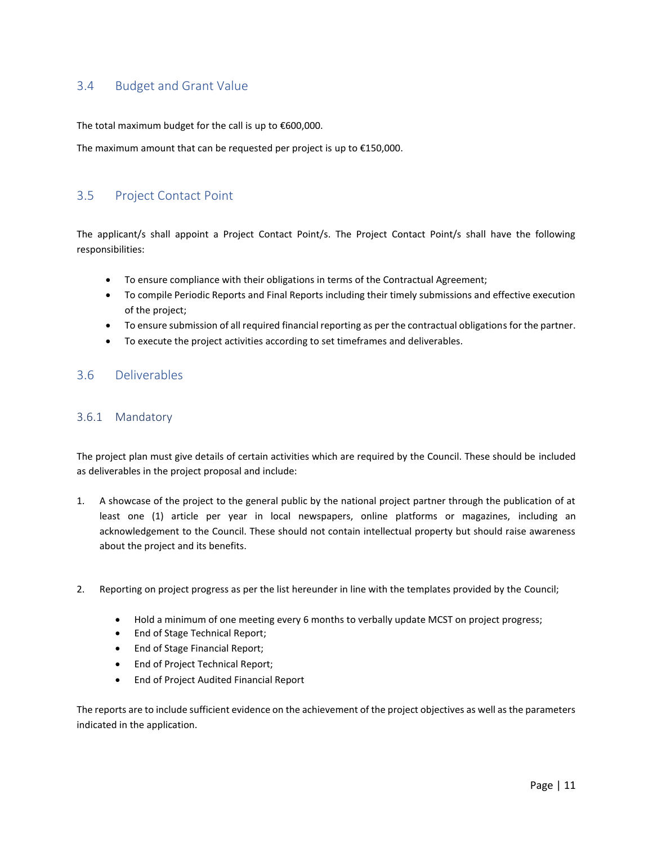## <span id="page-10-0"></span>3.4 Budget and Grant Value

The total maximum budget for the call is up to €600,000.

The maximum amount that can be requested per project is up to €150,000.

### <span id="page-10-1"></span>3.5 Project Contact Point

The applicant/s shall appoint a Project Contact Point/s. The Project Contact Point/s shall have the following responsibilities:

- To ensure compliance with their obligations in terms of the Contractual Agreement;
- To compile Periodic Reports and Final Reports including their timely submissions and effective execution of the project;
- To ensure submission of all required financial reporting as per the contractual obligations for the partner.
- To execute the project activities according to set timeframes and deliverables.

#### <span id="page-10-2"></span>3.6 Deliverables

#### <span id="page-10-3"></span>3.6.1 Mandatory

The project plan must give details of certain activities which are required by the Council. These should be included as deliverables in the project proposal and include:

- 1. A showcase of the project to the general public by the national project partner through the publication of at least one (1) article per year in local newspapers, online platforms or magazines, including an acknowledgement to the Council. These should not contain intellectual property but should raise awareness about the project and its benefits.
- 2. Reporting on project progress as per the list hereunder in line with the templates provided by the Council;
	- Hold a minimum of one meeting every 6 months to verbally update MCST on project progress;
	- End of Stage Technical Report;
	- End of Stage Financial Report;
	- End of Project Technical Report;
	- End of Project Audited Financial Report

The reports are to include sufficient evidence on the achievement of the project objectives as well as the parameters indicated in the application.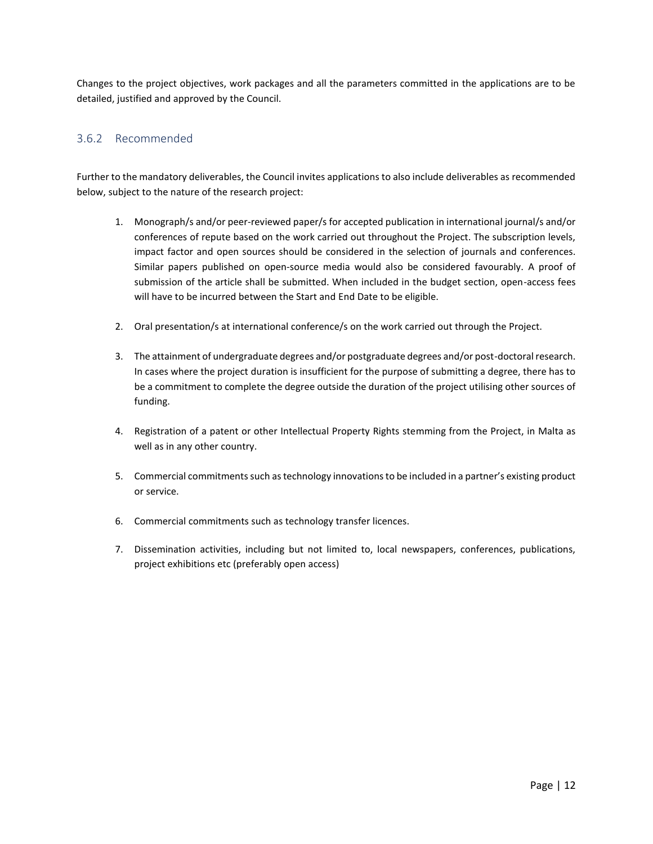Changes to the project objectives, work packages and all the parameters committed in the applications are to be detailed, justified and approved by the Council.

#### <span id="page-11-0"></span>3.6.2 Recommended

Further to the mandatory deliverables, the Council invites applications to also include deliverables as recommended below, subject to the nature of the research project:

- 1. Monograph/s and/or peer-reviewed paper/s for accepted publication in international journal/s and/or conferences of repute based on the work carried out throughout the Project. The subscription levels, impact factor and open sources should be considered in the selection of journals and conferences. Similar papers published on open-source media would also be considered favourably. A proof of submission of the article shall be submitted. When included in the budget section, open-access fees will have to be incurred between the Start and End Date to be eligible.
- 2. Oral presentation/s at international conference/s on the work carried out through the Project.
- 3. The attainment of undergraduate degrees and/or postgraduate degrees and/or post-doctoral research. In cases where the project duration is insufficient for the purpose of submitting a degree, there has to be a commitment to complete the degree outside the duration of the project utilising other sources of funding.
- 4. Registration of a patent or other Intellectual Property Rights stemming from the Project, in Malta as well as in any other country.
- 5. Commercial commitments such as technology innovations to be included in a partner's existing product or service.
- 6. Commercial commitments such as technology transfer licences.
- 7. Dissemination activities, including but not limited to, local newspapers, conferences, publications, project exhibitions etc (preferably open access)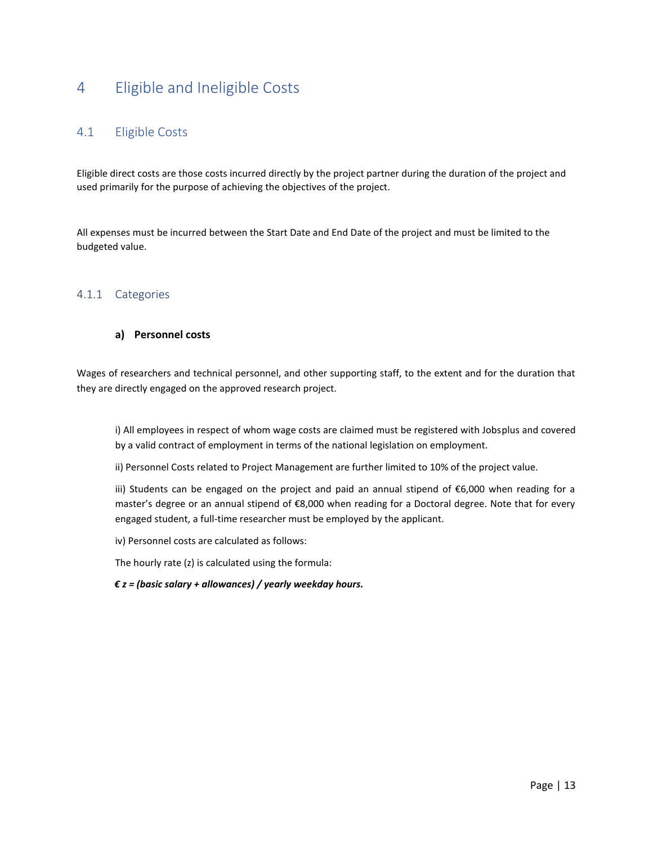## <span id="page-12-0"></span>4 Eligible and Ineligible Costs

## <span id="page-12-1"></span>4.1 Eligible Costs

Eligible direct costs are those costs incurred directly by the project partner during the duration of the project and used primarily for the purpose of achieving the objectives of the project.

All expenses must be incurred between the Start Date and End Date of the project and must be limited to the budgeted value.

#### <span id="page-12-2"></span>4.1.1 Categories

#### **a) Personnel costs**

Wages of researchers and technical personnel, and other supporting staff, to the extent and for the duration that they are directly engaged on the approved research project.

i) All employees in respect of whom wage costs are claimed must be registered with Jobsplus and covered by a valid contract of employment in terms of the national legislation on employment.

ii) Personnel Costs related to Project Management are further limited to 10% of the project value.

iii) Students can be engaged on the project and paid an annual stipend of €6,000 when reading for a master's degree or an annual stipend of €8,000 when reading for a Doctoral degree. Note that for every engaged student, a full-time researcher must be employed by the applicant.

iv) Personnel costs are calculated as follows:

The hourly rate (z) is calculated using the formula:

*€ z = (basic salary + allowances) / yearly weekday hours.*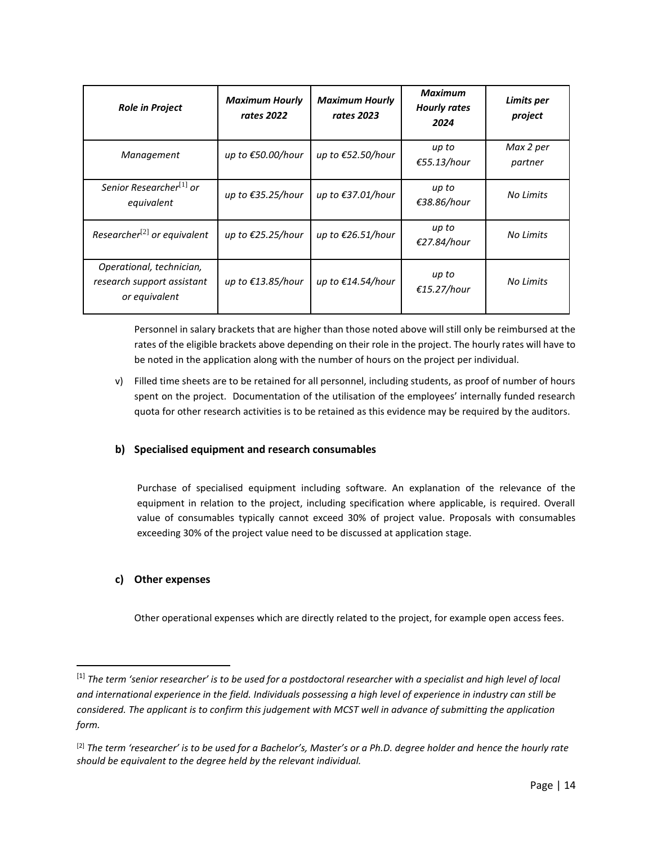| <b>Role in Project</b>                                                  | <b>Maximum Hourly</b><br>rates 2022 | <b>Maximum Hourly</b><br>rates 2023 | Maximum<br><b>Hourly rates</b><br>2024 | Limits per<br>project |
|-------------------------------------------------------------------------|-------------------------------------|-------------------------------------|----------------------------------------|-----------------------|
| Management                                                              | up to €50.00/hour                   | up to €52.50/hour                   | up to<br>€55.13/hour                   | Max 2 per<br>partner  |
| Senior Researcher <sup>[1]</sup> or<br>equivalent                       | up to €35.25/hour                   | up to €37.01/hour                   | up to<br>€38.86/hour                   | No Limits             |
| Researcher <sup>[2]</sup> or equivalent                                 | up to €25.25/hour                   | up to €26.51/hour                   | up to<br>€27.84/hour                   | No Limits             |
| Operational, technician,<br>research support assistant<br>or equivalent | up to €13.85/hour                   | up to €14.54/hour                   | up to<br>€15.27/hour                   | No Limits             |

Personnel in salary brackets that are higher than those noted above will still only be reimbursed at the rates of the eligible brackets above depending on their role in the project. The hourly rates will have to be noted in the application along with the number of hours on the project per individual.

v) Filled time sheets are to be retained for all personnel, including students, as proof of number of hours spent on the project. Documentation of the utilisation of the employees' internally funded research quota for other research activities is to be retained as this evidence may be required by the auditors.

#### **b) Specialised equipment and research consumables**

Purchase of specialised equipment including software. An explanation of the relevance of the equipment in relation to the project, including specification where applicable, is required. Overall value of consumables typically cannot exceed 30% of project value. Proposals with consumables exceeding 30% of the project value need to be discussed at application stage.

#### **c) Other expenses**

Other operational expenses which are directly related to the project, for example open access fees.

<sup>[1]</sup> The term 'senior researcher' is to be used for a postdoctoral researcher with a specialist and high level of local *and international experience in the field. Individuals possessing a high level of experience in industry can still be considered. The applicant is to confirm this judgement with MCST well in advance of submitting the application form.*

<sup>&</sup>lt;sup>[2]</sup> The term 'researcher' is to be used for a Bachelor's, Master's or a Ph.D. degree holder and hence the hourly rate *should be equivalent to the degree held by the relevant individual.*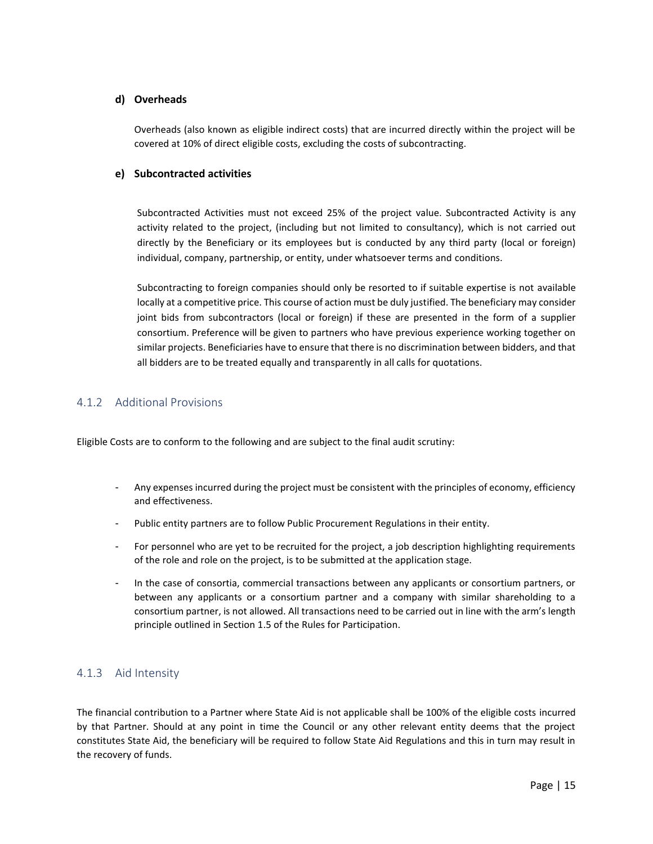#### **d) Overheads**

Overheads (also known as eligible indirect costs) that are incurred directly within the project will be covered at 10% of direct eligible costs, excluding the costs of subcontracting.

#### **e) Subcontracted activities**

Subcontracted Activities must not exceed 25% of the project value. Subcontracted Activity is any activity related to the project, (including but not limited to consultancy), which is not carried out directly by the Beneficiary or its employees but is conducted by any third party (local or foreign) individual, company, partnership, or entity, under whatsoever terms and conditions.

Subcontracting to foreign companies should only be resorted to if suitable expertise is not available locally at a competitive price. This course of action must be duly justified. The beneficiary may consider joint bids from subcontractors (local or foreign) if these are presented in the form of a supplier consortium. Preference will be given to partners who have previous experience working together on similar projects. Beneficiaries have to ensure that there is no discrimination between bidders, and that all bidders are to be treated equally and transparently in all calls for quotations.

#### <span id="page-14-0"></span>4.1.2 Additional Provisions

Eligible Costs are to conform to the following and are subject to the final audit scrutiny:

- Any expenses incurred during the project must be consistent with the principles of economy, efficiency and effectiveness.
- Public entity partners are to follow Public Procurement Regulations in their entity.
- For personnel who are yet to be recruited for the project, a job description highlighting requirements of the role and role on the project, is to be submitted at the application stage.
- In the case of consortia, commercial transactions between any applicants or consortium partners, or between any applicants or a consortium partner and a company with similar shareholding to a consortium partner, is not allowed. All transactions need to be carried out in line with the arm's length principle outlined in Section 1.5 of the Rules for Participation.

#### <span id="page-14-1"></span>4.1.3 Aid Intensity

The financial contribution to a Partner where State Aid is not applicable shall be 100% of the eligible costs incurred by that Partner. Should at any point in time the Council or any other relevant entity deems that the project constitutes State Aid, the beneficiary will be required to follow State Aid Regulations and this in turn may result in the recovery of funds.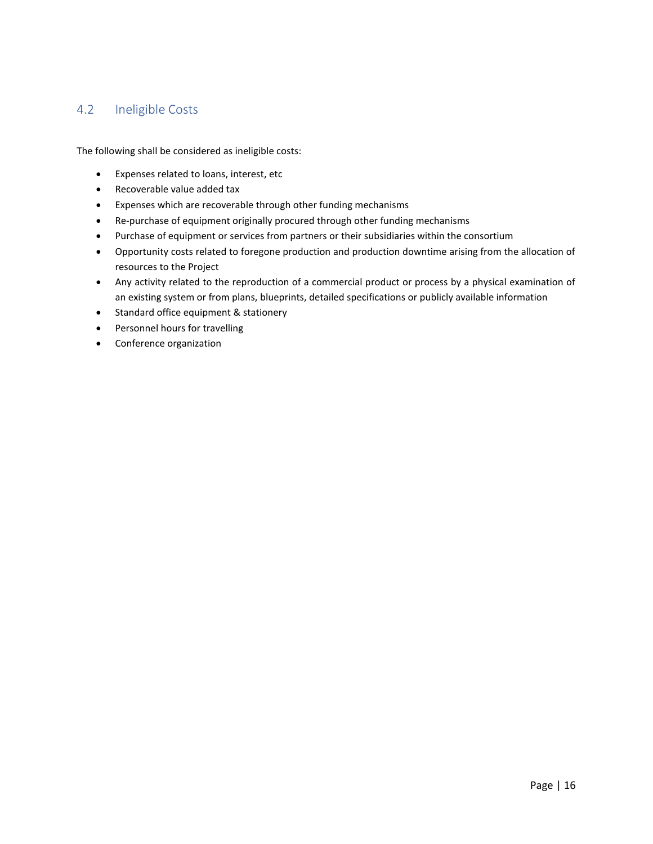## <span id="page-15-0"></span>4.2 Ineligible Costs

The following shall be considered as ineligible costs:

- Expenses related to loans, interest, etc
- Recoverable value added tax
- Expenses which are recoverable through other funding mechanisms
- Re-purchase of equipment originally procured through other funding mechanisms
- Purchase of equipment or services from partners or their subsidiaries within the consortium
- Opportunity costs related to foregone production and production downtime arising from the allocation of resources to the Project
- Any activity related to the reproduction of a commercial product or process by a physical examination of an existing system or from plans, blueprints, detailed specifications or publicly available information
- Standard office equipment & stationery
- Personnel hours for travelling
- Conference organization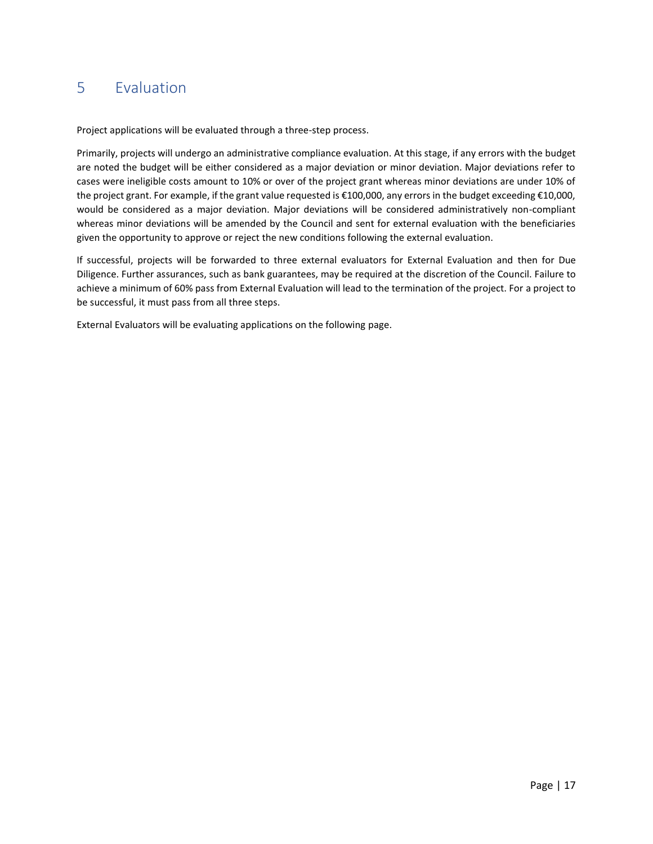## <span id="page-16-0"></span>5 Evaluation

Project applications will be evaluated through a three-step process.

Primarily, projects will undergo an administrative compliance evaluation. At this stage, if any errors with the budget are noted the budget will be either considered as a major deviation or minor deviation. Major deviations refer to cases were ineligible costs amount to 10% or over of the project grant whereas minor deviations are under 10% of the project grant. For example, if the grant value requested is €100,000, any errors in the budget exceeding €10,000, would be considered as a major deviation. Major deviations will be considered administratively non-compliant whereas minor deviations will be amended by the Council and sent for external evaluation with the beneficiaries given the opportunity to approve or reject the new conditions following the external evaluation.

If successful, projects will be forwarded to three external evaluators for External Evaluation and then for Due Diligence. Further assurances, such as bank guarantees, may be required at the discretion of the Council. Failure to achieve a minimum of 60% pass from External Evaluation will lead to the termination of the project. For a project to be successful, it must pass from all three steps.

External Evaluators will be evaluating applications on the following page.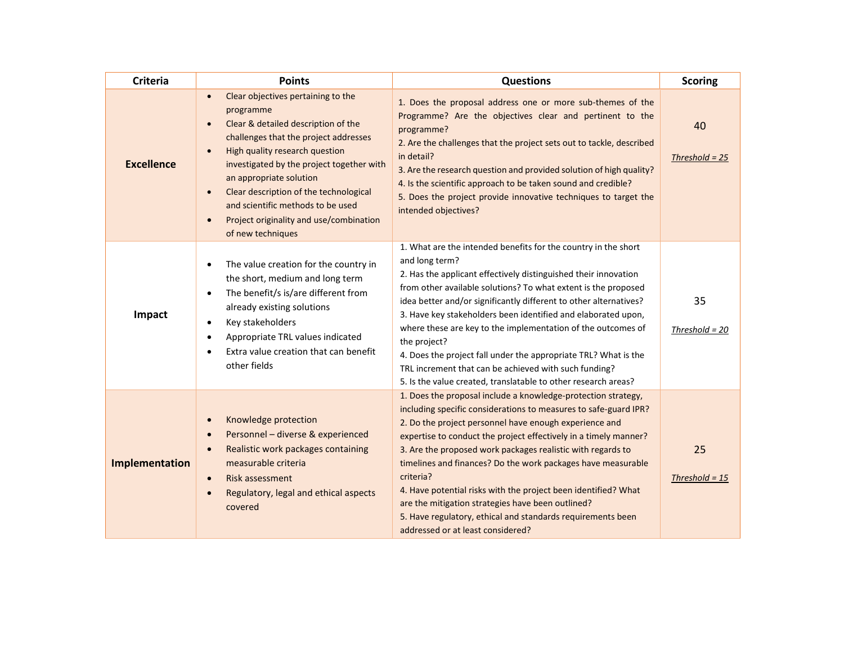| <b>Criteria</b>                                                                                                                                                                                                                                        | <b>Points</b>                                                                                                                                                                                                                                                                                                                                                                                         | <b>Questions</b>                                                                                                                                                                                                                                                                                                                                                                                                                                                                                                                                                                                                                          | <b>Scoring</b>         |
|--------------------------------------------------------------------------------------------------------------------------------------------------------------------------------------------------------------------------------------------------------|-------------------------------------------------------------------------------------------------------------------------------------------------------------------------------------------------------------------------------------------------------------------------------------------------------------------------------------------------------------------------------------------------------|-------------------------------------------------------------------------------------------------------------------------------------------------------------------------------------------------------------------------------------------------------------------------------------------------------------------------------------------------------------------------------------------------------------------------------------------------------------------------------------------------------------------------------------------------------------------------------------------------------------------------------------------|------------------------|
| <b>Excellence</b>                                                                                                                                                                                                                                      | Clear objectives pertaining to the<br>programme<br>Clear & detailed description of the<br>challenges that the project addresses<br>High quality research question<br>investigated by the project together with<br>an appropriate solution<br>Clear description of the technological<br>$\bullet$<br>and scientific methods to be used<br>Project originality and use/combination<br>of new techniques | 1. Does the proposal address one or more sub-themes of the<br>Programme? Are the objectives clear and pertinent to the<br>programme?<br>2. Are the challenges that the project sets out to tackle, described<br>in detail?<br>3. Are the research question and provided solution of high quality?<br>4. Is the scientific approach to be taken sound and credible?<br>5. Does the project provide innovative techniques to target the<br>intended objectives?                                                                                                                                                                             | 40<br>Threshold = $25$ |
| Impact                                                                                                                                                                                                                                                 | The value creation for the country in<br>the short, medium and long term<br>The benefit/s is/are different from<br>$\bullet$<br>already existing solutions<br>Key stakeholders<br>Appropriate TRL values indicated<br>٠<br>Extra value creation that can benefit<br>other fields                                                                                                                      | 1. What are the intended benefits for the country in the short<br>and long term?<br>2. Has the applicant effectively distinguished their innovation<br>from other available solutions? To what extent is the proposed<br>idea better and/or significantly different to other alternatives?<br>3. Have key stakeholders been identified and elaborated upon,<br>where these are key to the implementation of the outcomes of<br>the project?<br>4. Does the project fall under the appropriate TRL? What is the<br>TRL increment that can be achieved with such funding?<br>5. Is the value created, translatable to other research areas? | 35<br>Threshold = $20$ |
| Knowledge protection<br>Personnel - diverse & experienced<br>Realistic work packages containing<br>$\bullet$<br>Implementation<br>measurable criteria<br>Risk assessment<br>$\bullet$<br>Regulatory, legal and ethical aspects<br>$\bullet$<br>covered |                                                                                                                                                                                                                                                                                                                                                                                                       | 1. Does the proposal include a knowledge-protection strategy,<br>including specific considerations to measures to safe-guard IPR?<br>2. Do the project personnel have enough experience and<br>expertise to conduct the project effectively in a timely manner?<br>3. Are the proposed work packages realistic with regards to<br>timelines and finances? Do the work packages have measurable<br>criteria?<br>4. Have potential risks with the project been identified? What<br>are the mitigation strategies have been outlined?<br>5. Have regulatory, ethical and standards requirements been<br>addressed or at least considered?    | 25<br>Threshold = $15$ |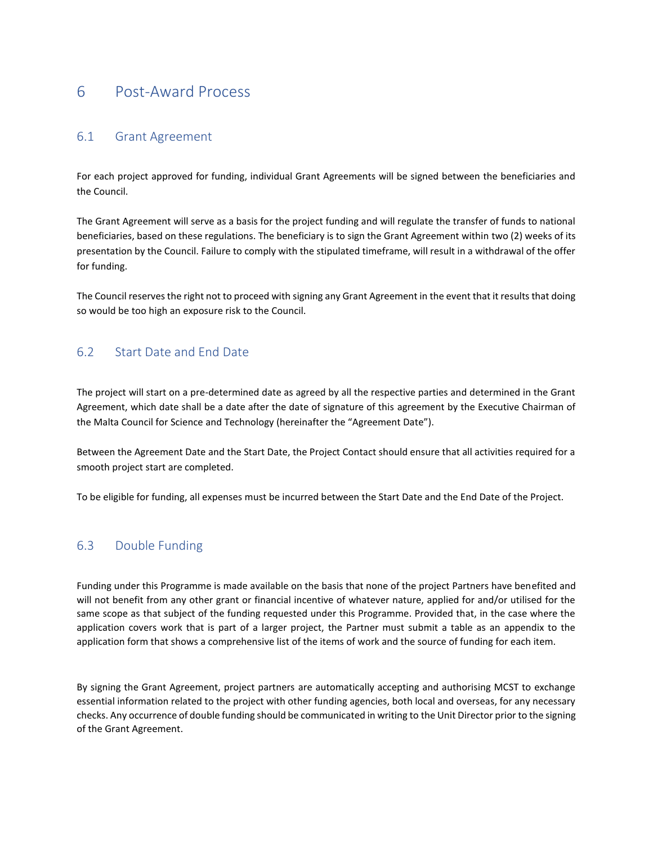## <span id="page-18-0"></span>6 Post-Award Process

### <span id="page-18-1"></span>6.1 Grant Agreement

For each project approved for funding, individual Grant Agreements will be signed between the beneficiaries and the Council.

The Grant Agreement will serve as a basis for the project funding and will regulate the transfer of funds to national beneficiaries, based on these regulations. The beneficiary is to sign the Grant Agreement within two (2) weeks of its presentation by the Council. Failure to comply with the stipulated timeframe, will result in a withdrawal of the offer for funding.

The Council reserves the right not to proceed with signing any Grant Agreement in the event that it results that doing so would be too high an exposure risk to the Council.

### <span id="page-18-2"></span>6.2 Start Date and End Date

The project will start on a pre-determined date as agreed by all the respective parties and determined in the Grant Agreement, which date shall be a date after the date of signature of this agreement by the Executive Chairman of the Malta Council for Science and Technology (hereinafter the "Agreement Date").

Between the Agreement Date and the Start Date, the Project Contact should ensure that all activities required for a smooth project start are completed.

To be eligible for funding, all expenses must be incurred between the Start Date and the End Date of the Project.

### <span id="page-18-3"></span>6.3 Double Funding

Funding under this Programme is made available on the basis that none of the project Partners have benefited and will not benefit from any other grant or financial incentive of whatever nature, applied for and/or utilised for the same scope as that subject of the funding requested under this Programme. Provided that, in the case where the application covers work that is part of a larger project, the Partner must submit a table as an appendix to the application form that shows a comprehensive list of the items of work and the source of funding for each item.

By signing the Grant Agreement, project partners are automatically accepting and authorising MCST to exchange essential information related to the project with other funding agencies, both local and overseas, for any necessary checks. Any occurrence of double funding should be communicated in writing to the Unit Director prior to the signing of the Grant Agreement.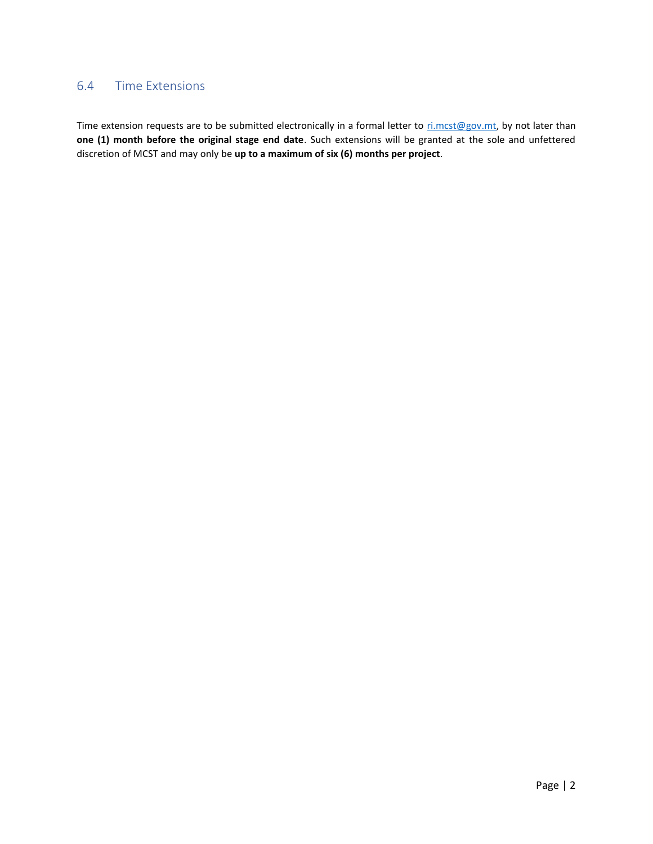### <span id="page-19-0"></span>6.4 Time Extensions

Time extension requests are to be submitted electronically in a formal letter to [ri.mcst@gov.mt,](mailto:ri.mcst@gov.mt) by not later than **one (1) month before the original stage end date**. Such extensions will be granted at the sole and unfettered discretion of MCST and may only be **up to a maximum of six (6) months per project**.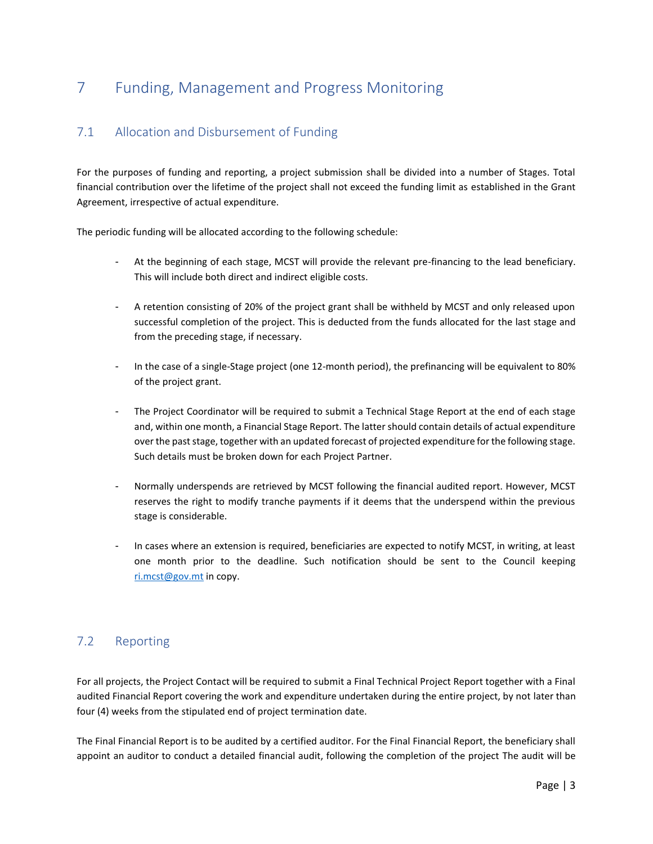## <span id="page-20-0"></span>7 Funding, Management and Progress Monitoring

## <span id="page-20-1"></span>7.1 Allocation and Disbursement of Funding

For the purposes of funding and reporting, a project submission shall be divided into a number of Stages. Total financial contribution over the lifetime of the project shall not exceed the funding limit as established in the Grant Agreement, irrespective of actual expenditure.

The periodic funding will be allocated according to the following schedule:

- At the beginning of each stage, MCST will provide the relevant pre-financing to the lead beneficiary. This will include both direct and indirect eligible costs.
- A retention consisting of 20% of the project grant shall be withheld by MCST and only released upon successful completion of the project. This is deducted from the funds allocated for the last stage and from the preceding stage, if necessary.
- In the case of a single-Stage project (one 12-month period), the prefinancing will be equivalent to 80% of the project grant.
- The Project Coordinator will be required to submit a Technical Stage Report at the end of each stage and, within one month, a Financial Stage Report. The latter should contain details of actual expenditure over the past stage, together with an updated forecast of projected expenditure for the following stage. Such details must be broken down for each Project Partner.
- Normally underspends are retrieved by MCST following the financial audited report. However, MCST reserves the right to modify tranche payments if it deems that the underspend within the previous stage is considerable.
- In cases where an extension is required, beneficiaries are expected to notify MCST, in writing, at least one month prior to the deadline. Such notification should be sent to the Council keeping [ri.mcst@gov.mt](mailto:ri.mcst@gov.mt) in copy.

## <span id="page-20-2"></span>7.2 Reporting

For all projects, the Project Contact will be required to submit a Final Technical Project Report together with a Final audited Financial Report covering the work and expenditure undertaken during the entire project, by not later than four (4) weeks from the stipulated end of project termination date.

The Final Financial Report is to be audited by a certified auditor. For the Final Financial Report, the beneficiary shall appoint an auditor to conduct a detailed financial audit, following the completion of the project The audit will be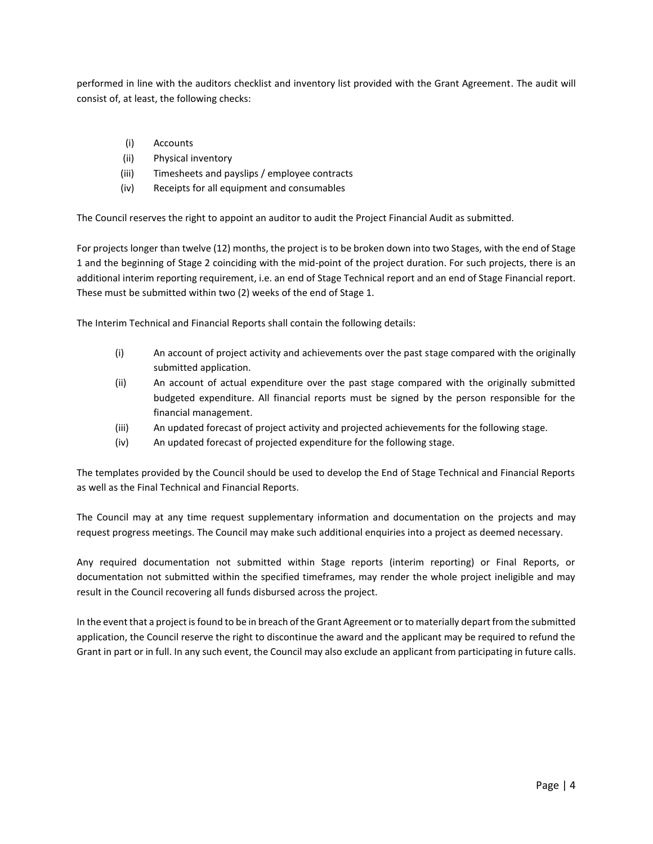performed in line with the auditors checklist and inventory list provided with the Grant Agreement. The audit will consist of, at least, the following checks:

- (i) Accounts
- (ii) Physical inventory
- (iii) Timesheets and payslips / employee contracts
- (iv) Receipts for all equipment and consumables

The Council reserves the right to appoint an auditor to audit the Project Financial Audit as submitted.

For projects longer than twelve (12) months, the project is to be broken down into two Stages, with the end of Stage 1 and the beginning of Stage 2 coinciding with the mid-point of the project duration. For such projects, there is an additional interim reporting requirement, i.e. an end of Stage Technical report and an end of Stage Financial report. These must be submitted within two (2) weeks of the end of Stage 1.

The Interim Technical and Financial Reports shall contain the following details:

- (i) An account of project activity and achievements over the past stage compared with the originally submitted application.
- (ii) An account of actual expenditure over the past stage compared with the originally submitted budgeted expenditure. All financial reports must be signed by the person responsible for the financial management.
- (iii) An updated forecast of project activity and projected achievements for the following stage.
- (iv) An updated forecast of projected expenditure for the following stage.

The templates provided by the Council should be used to develop the End of Stage Technical and Financial Reports as well as the Final Technical and Financial Reports.

The Council may at any time request supplementary information and documentation on the projects and may request progress meetings. The Council may make such additional enquiries into a project as deemed necessary.

Any required documentation not submitted within Stage reports (interim reporting) or Final Reports, or documentation not submitted within the specified timeframes, may render the whole project ineligible and may result in the Council recovering all funds disbursed across the project.

In the event that a project is found to be in breach of the Grant Agreement or to materially depart from the submitted application, the Council reserve the right to discontinue the award and the applicant may be required to refund the Grant in part or in full. In any such event, the Council may also exclude an applicant from participating in future calls.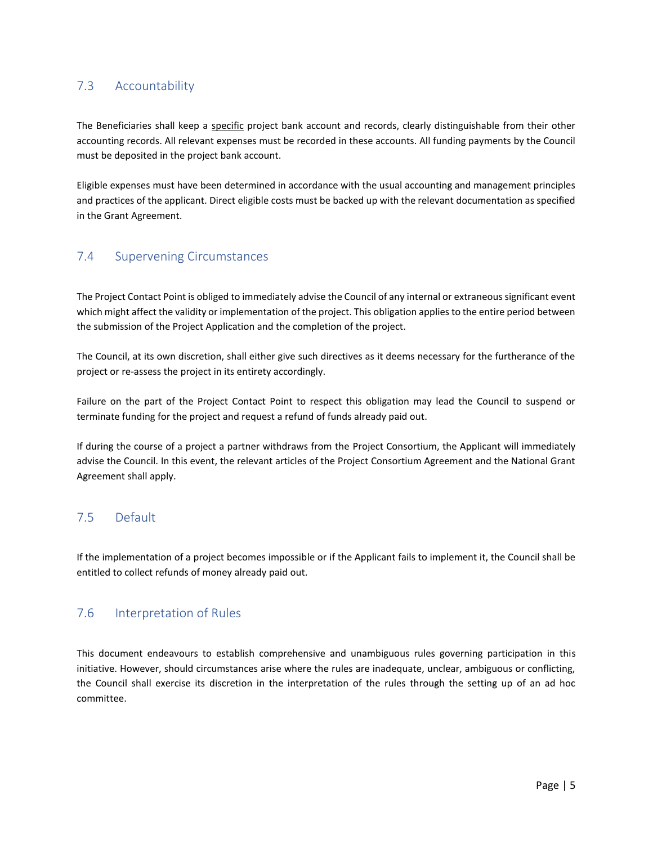## <span id="page-22-0"></span>7.3 Accountability

The Beneficiaries shall keep a specific project bank account and records, clearly distinguishable from their other accounting records. All relevant expenses must be recorded in these accounts. All funding payments by the Council must be deposited in the project bank account.

Eligible expenses must have been determined in accordance with the usual accounting and management principles and practices of the applicant. Direct eligible costs must be backed up with the relevant documentation as specified in the Grant Agreement.

## <span id="page-22-1"></span>7.4 Supervening Circumstances

The Project Contact Point is obliged to immediately advise the Council of any internal or extraneous significant event which might affect the validity or implementation of the project. This obligation applies to the entire period between the submission of the Project Application and the completion of the project.

The Council, at its own discretion, shall either give such directives as it deems necessary for the furtherance of the project or re-assess the project in its entirety accordingly.

Failure on the part of the Project Contact Point to respect this obligation may lead the Council to suspend or terminate funding for the project and request a refund of funds already paid out.

If during the course of a project a partner withdraws from the Project Consortium, the Applicant will immediately advise the Council. In this event, the relevant articles of the Project Consortium Agreement and the National Grant Agreement shall apply.

## <span id="page-22-2"></span>7.5 Default

If the implementation of a project becomes impossible or if the Applicant fails to implement it, the Council shall be entitled to collect refunds of money already paid out.

## <span id="page-22-3"></span>7.6 Interpretation of Rules

This document endeavours to establish comprehensive and unambiguous rules governing participation in this initiative. However, should circumstances arise where the rules are inadequate, unclear, ambiguous or conflicting, the Council shall exercise its discretion in the interpretation of the rules through the setting up of an ad hoc committee.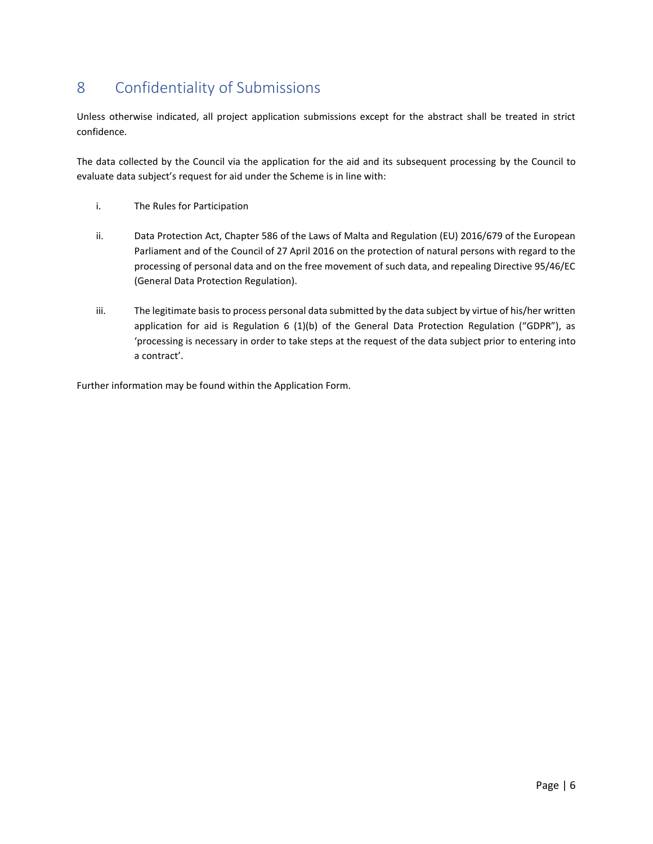## <span id="page-23-0"></span>8 Confidentiality of Submissions

Unless otherwise indicated, all project application submissions except for the abstract shall be treated in strict confidence.

The data collected by the Council via the application for the aid and its subsequent processing by the Council to evaluate data subject's request for aid under the Scheme is in line with:

- i. The Rules for Participation
- ii. Data Protection Act, Chapter 586 of the Laws of Malta and Regulation (EU) 2016/679 of the European Parliament and of the Council of 27 April 2016 on the protection of natural persons with regard to the processing of personal data and on the free movement of such data, and repealing Directive 95/46/EC (General Data Protection Regulation).
- iii. The legitimate basis to process personal data submitted by the data subject by virtue of his/her written application for aid is Regulation 6 (1)(b) of the General Data Protection Regulation ("GDPR"), as 'processing is necessary in order to take steps at the request of the data subject prior to entering into a contract'.

Further information may be found within the Application Form.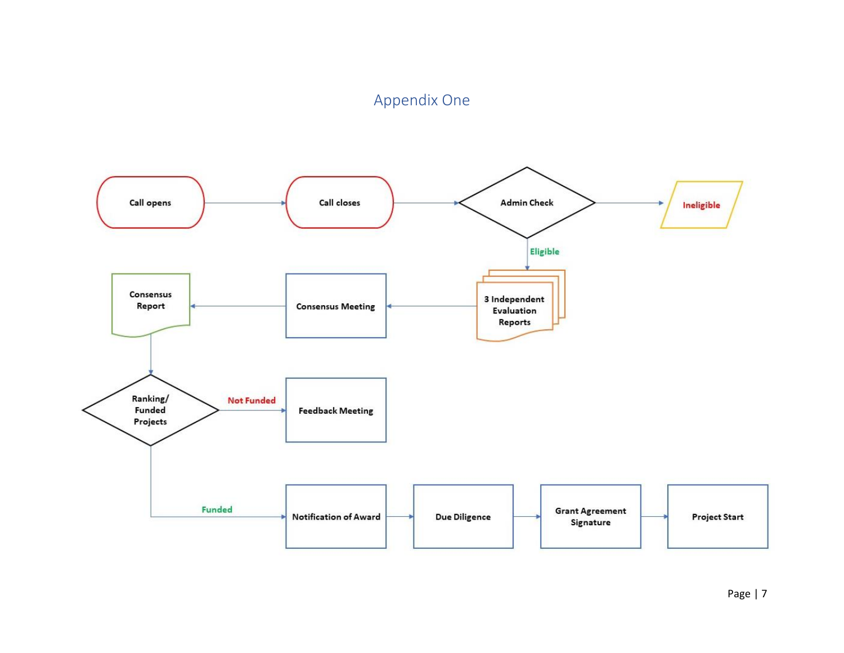## Appendix One

<span id="page-24-0"></span>